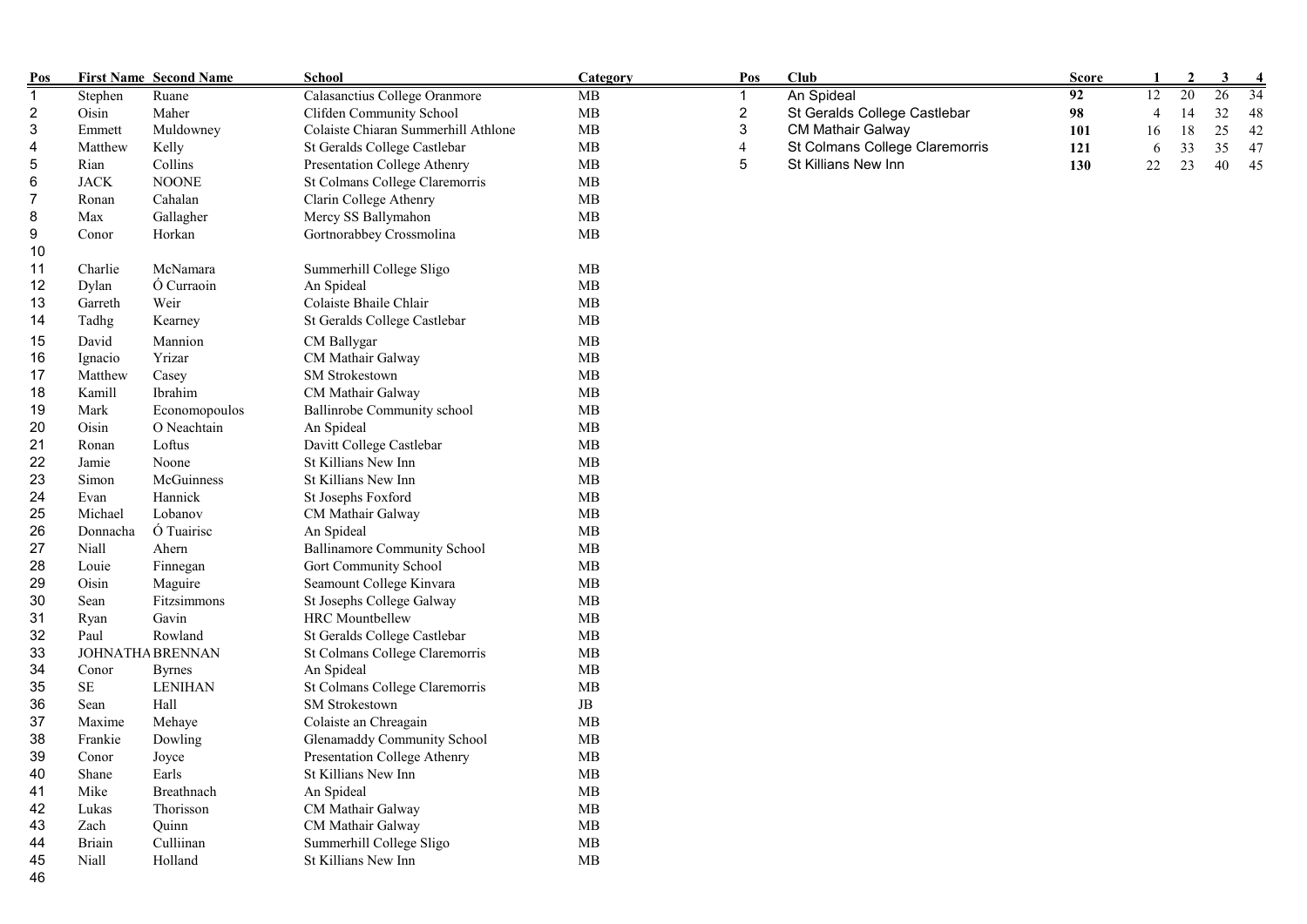| Pos            |               | <b>First Name Second Name</b> | <b>School</b>                       | Category   | Pos            | Club                           | <b>Score</b> |                | $\overline{2}$ | 3  |    |
|----------------|---------------|-------------------------------|-------------------------------------|------------|----------------|--------------------------------|--------------|----------------|----------------|----|----|
| $\mathbf{1}$   | Stephen       | Ruane                         | Calasanctius College Oranmore       | MB         |                | An Spideal                     | 92           | 12             | 20             | 26 | 34 |
| $\overline{c}$ | Oisin         | Maher                         | Clifden Community School            | MB         | $\overline{c}$ | St Geralds College Castlebar   | 98           | $\overline{4}$ | 14             | 32 | 48 |
| 3              | Emmett        | Muldowney                     | Colaiste Chiaran Summerhill Athlone | MB         | 3              | <b>CM Mathair Galway</b>       | 101          | 16             | 18             | 25 | 42 |
| 4              | Matthew       | Kelly                         | St Geralds College Castlebar        | MB         | $\overline{4}$ | St Colmans College Claremorris | 121          | 6              | 33             | 35 | 47 |
| 5              | Rian          | Collins                       | Presentation College Athenry        | MB         | 5              | St Killians New Inn            | 130          | 22             | 23             | 40 | 45 |
| 6              | <b>JACK</b>   | <b>NOONE</b>                  | St Colmans College Claremorris      | MB         |                |                                |              |                |                |    |    |
| 7              | Ronan         | Cahalan                       | Clarin College Athenry              | MB         |                |                                |              |                |                |    |    |
| 8              | Max           | Gallagher                     | Mercy SS Ballymahon                 | MB         |                |                                |              |                |                |    |    |
| 9              | Conor         | Horkan                        | Gortnorabbey Crossmolina            | <b>MB</b>  |                |                                |              |                |                |    |    |
| 10             |               |                               |                                     |            |                |                                |              |                |                |    |    |
| 11             | Charlie       | McNamara                      | Summerhill College Sligo            | MB         |                |                                |              |                |                |    |    |
| 12             | Dylan         | Ó Curraoin                    | An Spideal                          | MB         |                |                                |              |                |                |    |    |
| 13             | Garreth       | Weir                          | Colaiste Bhaile Chlair              | MB         |                |                                |              |                |                |    |    |
| 14             | Tadhg         | Kearney                       | St Geralds College Castlebar        | MB         |                |                                |              |                |                |    |    |
| 15             | David         | Mannion                       | CM Ballygar                         | <b>MB</b>  |                |                                |              |                |                |    |    |
| 16             | Ignacio       | Yrizar                        | CM Mathair Galway                   | MB         |                |                                |              |                |                |    |    |
| 17             | Matthew       | Casey                         | SM Strokestown                      | MB         |                |                                |              |                |                |    |    |
| 18             | Kamill        | Ibrahim                       | CM Mathair Galway                   | MB         |                |                                |              |                |                |    |    |
| 19             | Mark          | Economopoulos                 | Ballinrobe Community school         | MB         |                |                                |              |                |                |    |    |
| 20             | Oisin         | O Neachtain                   | An Spideal                          | MB         |                |                                |              |                |                |    |    |
| 21             | Ronan         | Loftus                        | Davitt College Castlebar            | MB         |                |                                |              |                |                |    |    |
| 22             |               |                               | St Killians New Inn                 | MB         |                |                                |              |                |                |    |    |
|                | Jamie         | Noone<br>McGuinness           | St Killians New Inn                 | MB         |                |                                |              |                |                |    |    |
| 23             | Simon<br>Evan | Hannick                       |                                     | MB         |                |                                |              |                |                |    |    |
| 24             |               | Lobanov                       | St Josephs Foxford                  | MB         |                |                                |              |                |                |    |    |
| 25             | Michael       | Ó Tuairisc                    | CM Mathair Galway                   |            |                |                                |              |                |                |    |    |
| 26             | Donnacha      |                               | An Spideal                          | MB         |                |                                |              |                |                |    |    |
| 27             | Niall         | Ahern                         | <b>Ballinamore Community School</b> | MB         |                |                                |              |                |                |    |    |
| 28             | Louie         | Finnegan                      | Gort Community School               | MB         |                |                                |              |                |                |    |    |
| 29             | Oisin         | Maguire                       | Seamount College Kinvara            | MB         |                |                                |              |                |                |    |    |
| 30             | Sean          | Fitzsimmons                   | St Josephs College Galway           | MB         |                |                                |              |                |                |    |    |
| 31             | Ryan          | Gavin                         | <b>HRC</b> Mountbellew              | MB         |                |                                |              |                |                |    |    |
| 32             | Paul          | Rowland                       | St Geralds College Castlebar        | MB         |                |                                |              |                |                |    |    |
| 33             |               | JOHNATHA BRENNAN              | St Colmans College Claremorris      | MB         |                |                                |              |                |                |    |    |
| 34             | Conor         | <b>Byrnes</b>                 | An Spideal                          | MB         |                |                                |              |                |                |    |    |
| 35             | $\rm SE$      | <b>LENIHAN</b>                | St Colmans College Claremorris      | MB         |                |                                |              |                |                |    |    |
| 36             | Sean          | Hall                          | SM Strokestown                      | $\rm{JB}$  |                |                                |              |                |                |    |    |
| 37             | Maxime        | Mehaye                        | Colaiste an Chreagain               | <b>MB</b>  |                |                                |              |                |                |    |    |
| 38             | Frankie       | Dowling                       | Glenamaddy Community School         | MB         |                |                                |              |                |                |    |    |
| 39             | Conor         | Joyce                         | Presentation College Athenry        | MB         |                |                                |              |                |                |    |    |
| 40             | Shane         | Earls                         | St Killians New Inn                 | ${\rm MB}$ |                |                                |              |                |                |    |    |
| 41             | Mike          | Breathnach                    | An Spideal                          | MB         |                |                                |              |                |                |    |    |
| 42             | Lukas         | Thorisson                     | CM Mathair Galway                   | MB         |                |                                |              |                |                |    |    |
| 43             | Zach          | Quinn                         | CM Mathair Galway                   | MB         |                |                                |              |                |                |    |    |
| 44             | Briain        | Culliinan                     | Summerhill College Sligo            | MB         |                |                                |              |                |                |    |    |
| 45             | Niall         | Holland                       | St Killians New Inn                 | MB         |                |                                |              |                |                |    |    |
| 46             |               |                               |                                     |            |                |                                |              |                |                |    |    |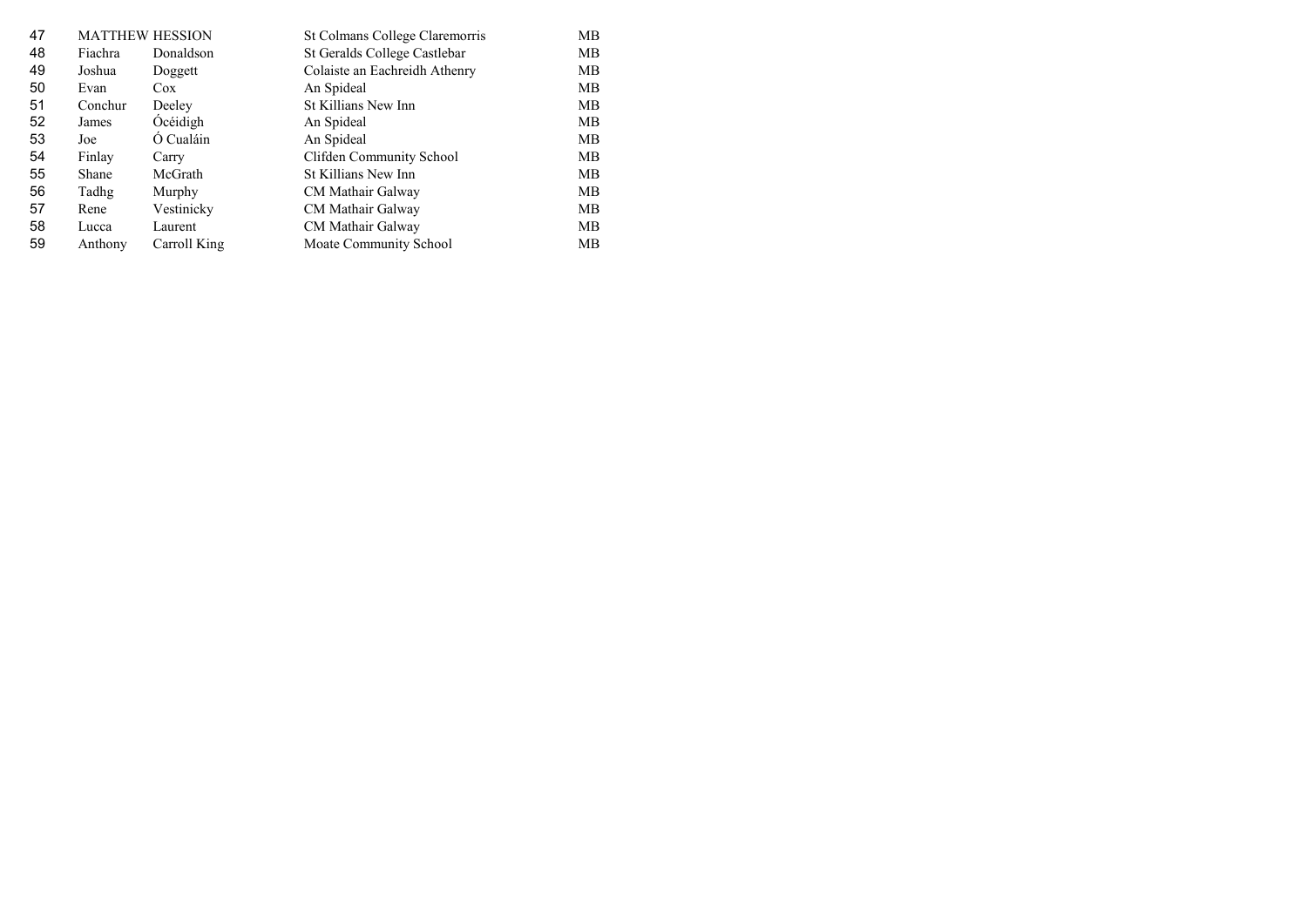| 47 | <b>MATTHEW HESSION</b> |              | St Colmans College Claremorris | MВ |
|----|------------------------|--------------|--------------------------------|----|
| 48 | Fiachra                | Donaldson    | St Geralds College Castlebar   | MВ |
| 49 | Joshua                 | Doggett      | Colaiste an Eachreidh Athenry  | МB |
| 50 | Evan                   | Cox          | An Spideal                     | МB |
| 51 | Conchur                | Deeley       | St Killians New Inn            | МB |
| 52 | James                  | Océidigh     | An Spideal                     | МB |
| 53 | Joe                    | Ó Cualáin    | An Spideal                     | MВ |
| 54 | Finlay                 | Carry        | Clifden Community School       | MВ |
| 55 | Shane                  | McGrath      | St Killians New Inn            | MВ |
| 56 | Tadhg                  | Murphy       | CM Mathair Galway              | MВ |
| 57 | Rene                   | Vestinicky   | CM Mathair Galway              | MВ |
| 58 | Lucca                  | Laurent      | CM Mathair Galway              | МB |
| 59 | Anthony                | Carroll King | Moate Community School         | MВ |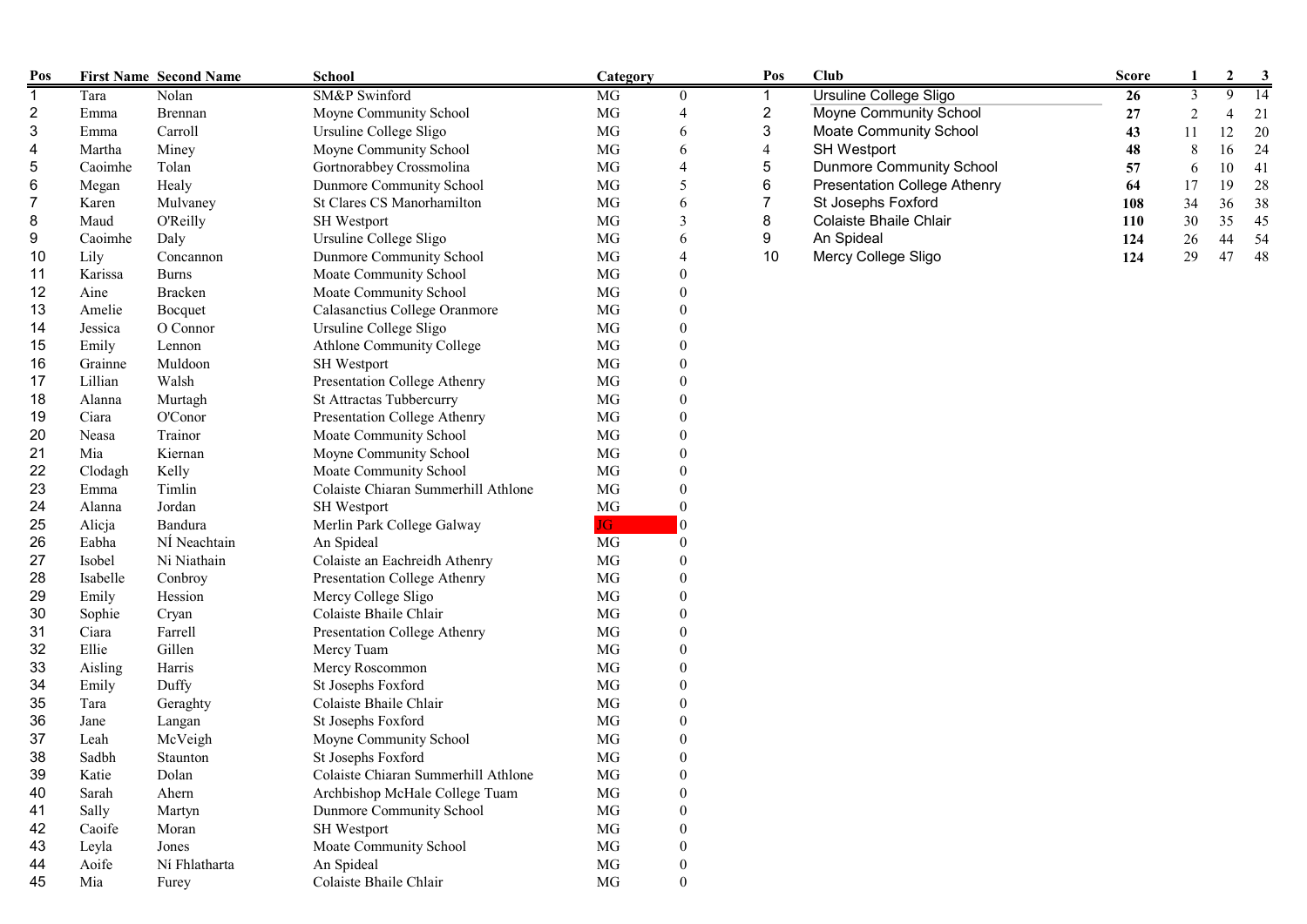| Pos            |          | <b>First Name Second Name</b> | School                              | Category |                  | Pos                      | <b>Club</b>                         | <b>Score</b> | 1              | $\boldsymbol{2}$ | 3               |
|----------------|----------|-------------------------------|-------------------------------------|----------|------------------|--------------------------|-------------------------------------|--------------|----------------|------------------|-----------------|
| $\overline{1}$ | Tara     | Nolan                         | SM&P Swinford                       | MG       | $\boldsymbol{0}$ | 1                        | <b>Ursuline College Sligo</b>       | 26           | $\mathfrak{Z}$ | 9                | $\overline{14}$ |
| 2              | Emma     | Brennan                       | Moyne Community School              | MG       | $\overline{4}$   | 2                        | Moyne Community School              | 27           | $\overline{2}$ | 4                | 21              |
| 3              | Emma     | Carroll                       | Ursuline College Sligo              | MG       | 6                | 3                        | <b>Moate Community School</b>       | 43           | 11             | 12               | 20              |
| 4              | Martha   | Miney                         | Moyne Community School              | MG       | 6                | $\overline{\mathcal{L}}$ | <b>SH Westport</b>                  | 48           | $\,8\,$        | 16               | 24              |
| 5              | Caoimhe  | Tolan                         | Gortnorabbey Crossmolina            | MG       | $\overline{4}$   | 5                        | <b>Dunmore Community School</b>     | 57           | 6              | 10               | 41              |
| 6              | Megan    | Healy                         | Dunmore Community School            | MG       | 5                | 6                        | <b>Presentation College Athenry</b> | 64           | 17             | 19               | 28              |
| 7              | Karen    | Mulvaney                      | St Clares CS Manorhamilton          | MG       | 6                | 7                        | St Josephs Foxford                  | 108          | 34             | 36               | 38              |
| 8              | Maud     | O'Reilly                      | SH Westport                         | MG       | 3                | 8                        | Colaiste Bhaile Chlair              | 110          | 30             | 35               | 45              |
| 9              | Caoimhe  | Daly                          | Ursuline College Sligo              | MG       | 6                | 9                        | An Spideal                          | 124          | 26             | 44               | 54              |
| 10             | Lily     | Concannon                     | Dunmore Community School            | MG       | $\overline{4}$   | 10                       | Mercy College Sligo                 | 124          | 29             | 47               | 48              |
| 11             | Karissa  | <b>Burns</b>                  | Moate Community School              | MG       | $\theta$         |                          |                                     |              |                |                  |                 |
| 12             | Aine     | <b>Bracken</b>                | Moate Community School              | MG       | $\theta$         |                          |                                     |              |                |                  |                 |
| 13             | Amelie   | Bocquet                       | Calasanctius College Oranmore       | MG       | $\theta$         |                          |                                     |              |                |                  |                 |
| 14             | Jessica  | O Connor                      | Ursuline College Sligo              | MG       | $\theta$         |                          |                                     |              |                |                  |                 |
| 15             | Emily    | Lennon                        | Athlone Community College           | MG       | $\boldsymbol{0}$ |                          |                                     |              |                |                  |                 |
| 16             | Grainne  | Muldoon                       | SH Westport                         | MG       | $\boldsymbol{0}$ |                          |                                     |              |                |                  |                 |
| 17             | Lillian  | Walsh                         | Presentation College Athenry        | MG       | $\overline{0}$   |                          |                                     |              |                |                  |                 |
| 18             | Alanna   | Murtagh                       | St Attractas Tubbercurry            | MG       | $\theta$         |                          |                                     |              |                |                  |                 |
| 19             | Ciara    | O'Conor                       | Presentation College Athenry        | MG       | $\theta$         |                          |                                     |              |                |                  |                 |
| 20             | Neasa    | Trainor                       | Moate Community School              | MG       | $\theta$         |                          |                                     |              |                |                  |                 |
| 21             | Mia      | Kiernan                       | Moyne Community School              | MG       | $\theta$         |                          |                                     |              |                |                  |                 |
| 22             | Clodagh  | Kelly                         | Moate Community School              | MG       | $\theta$         |                          |                                     |              |                |                  |                 |
| 23             | Emma     | Timlin                        | Colaiste Chiaran Summerhill Athlone | MG       | $\theta$         |                          |                                     |              |                |                  |                 |
| 24             | Alanna   | Jordan                        | SH Westport                         | MG       | $\theta$         |                          |                                     |              |                |                  |                 |
| 25             | Alicja   | Bandura                       | Merlin Park College Galway          | JG.      | $\vert 0 \vert$  |                          |                                     |              |                |                  |                 |
| 26             | Eabha    | NÍ Neachtain                  | An Spideal                          | MG       | $\boldsymbol{0}$ |                          |                                     |              |                |                  |                 |
| 27             | Isobel   | Ni Niathain                   | Colaiste an Eachreidh Athenry       | MG       | $\boldsymbol{0}$ |                          |                                     |              |                |                  |                 |
| 28             | Isabelle | Conbroy                       | Presentation College Athenry        | MG       | $\boldsymbol{0}$ |                          |                                     |              |                |                  |                 |
| 29             | Emily    | Hession                       | Mercy College Sligo                 | MG       | $\overline{0}$   |                          |                                     |              |                |                  |                 |
| 30             | Sophie   | Cryan                         | Colaiste Bhaile Chlair              | MG       | $\overline{0}$   |                          |                                     |              |                |                  |                 |
| 31             | Ciara    | Farrell                       | Presentation College Athenry        | MG       | $\theta$         |                          |                                     |              |                |                  |                 |
| 32             | Ellie    | Gillen                        | Mercy Tuam                          | MG       | $\theta$         |                          |                                     |              |                |                  |                 |
| 33             | Aisling  | Harris                        | Mercy Roscommon                     | MG       | $\theta$         |                          |                                     |              |                |                  |                 |
| 34             | Emily    | Duffy                         | St Josephs Foxford                  | MG       | $\theta$         |                          |                                     |              |                |                  |                 |
| 35             | Tara     | Geraghty                      | Colaiste Bhaile Chlair              | MG       | $\theta$         |                          |                                     |              |                |                  |                 |
| 36             | Jane     | Langan                        | St Josephs Foxford                  | MG       | $\boldsymbol{0}$ |                          |                                     |              |                |                  |                 |
| 37             | Leah     | McVeigh                       | Moyne Community School              | MG       | $\theta$         |                          |                                     |              |                |                  |                 |
| 38             | Sadbh    | Staunton                      | St Josephs Foxford                  | MG       | $\theta$         |                          |                                     |              |                |                  |                 |
| 39             | Katie    | Dolan                         | Colaiste Chiaran Summerhill Athlone | MG       | $\boldsymbol{0}$ |                          |                                     |              |                |                  |                 |
| 40             | Sarah    | Ahern                         | Archbishop McHale College Tuam      | $\rm MG$ |                  |                          |                                     |              |                |                  |                 |
| 41             | Sally    | Martyn                        | Dunmore Community School            | MG       | $\boldsymbol{0}$ |                          |                                     |              |                |                  |                 |
| 42             | Caoife   | Moran                         | SH Westport                         | MG       |                  |                          |                                     |              |                |                  |                 |
| 43             | Leyla    | Jones                         | Moate Community School              | MG       |                  |                          |                                     |              |                |                  |                 |
| 44             | Aoife    | Ní Fhlatharta                 | An Spideal                          | MG       | $\theta$         |                          |                                     |              |                |                  |                 |
| 45             | Mia      | Furey                         | Colaiste Bhaile Chlair              | MG       | $\theta$         |                          |                                     |              |                |                  |                 |
|                |          |                               |                                     |          |                  |                          |                                     |              |                |                  |                 |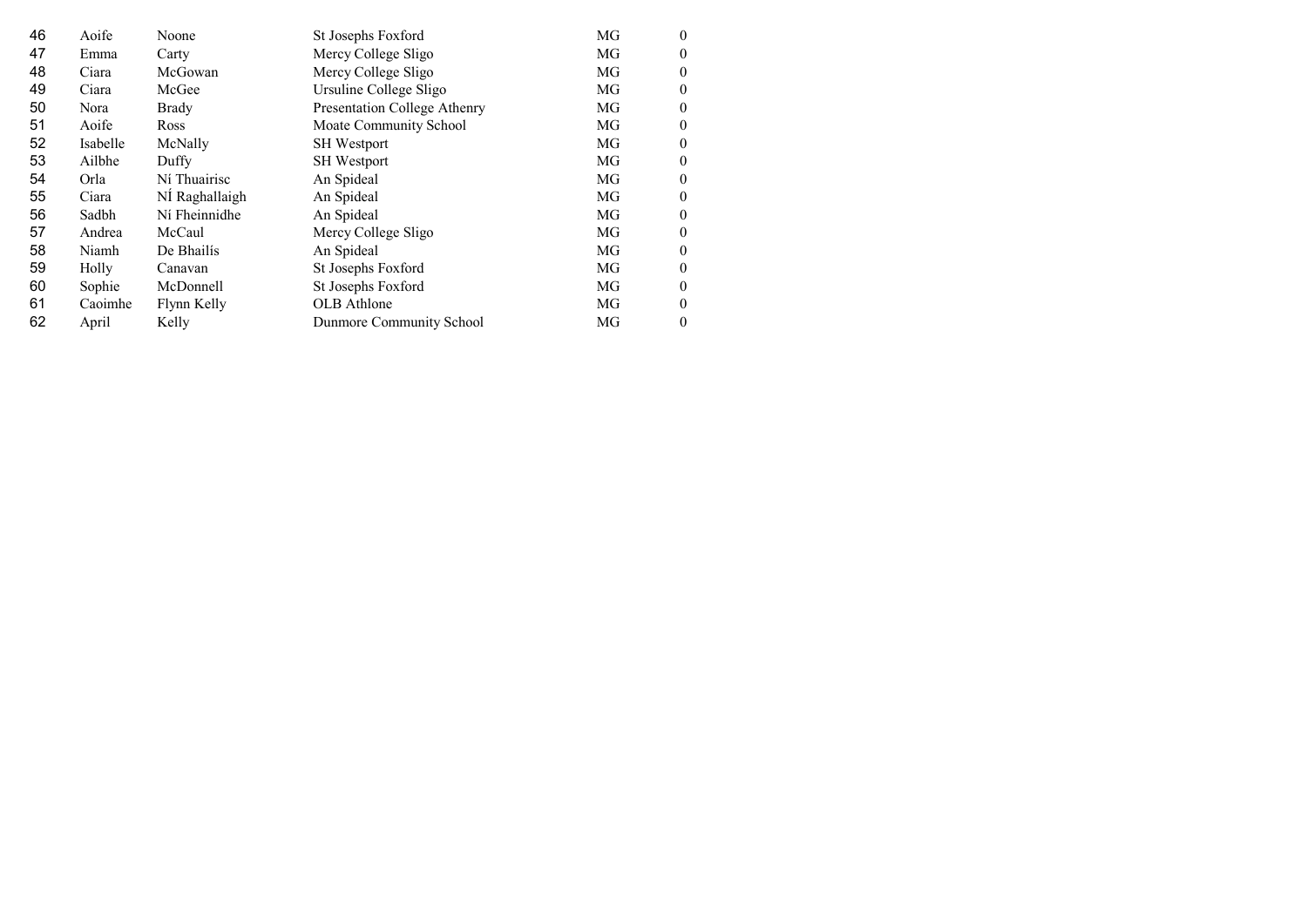| 46 | Aoife    | Noone          | St Josephs Foxford           | MG | $\Omega$ |
|----|----------|----------------|------------------------------|----|----------|
| 47 | Emma     | Carty          | Mercy College Sligo          | MG | 0        |
| 48 | Ciara    | McGowan        | Mercy College Sligo          | MG | 0        |
| 49 | Ciara    | McGee          | Ursuline College Sligo       | MG | 0        |
| 50 | Nora     | Brady          | Presentation College Athenry | MG | 0        |
| 51 | Aoife    | <b>Ross</b>    | Moate Community School       | MG | 0        |
| 52 | Isabelle | McNally        | <b>SH</b> Westport           | MG | 0        |
| 53 | Ailbhe   | Duffy          | SH Westport                  | MG | 0        |
| 54 | Orla     | Ní Thuairisc   | An Spideal                   | MG | $\Omega$ |
| 55 | Ciara    | Nİ Raghallaigh | An Spideal                   | MG | $_{0}$   |
| 56 | Sadbh    | Ní Fheinnidhe  | An Spideal                   | MG | 0        |
| 57 | Andrea   | McCaul         | Mercy College Sligo          | MG | $\Omega$ |
| 58 | Niamh    | De Bhailís     | An Spideal                   | MG | 0        |
| 59 | Holly    | Canavan        | St Josephs Foxford           | MG | 0        |
| 60 | Sophie   | McDonnell      | St Josephs Foxford           | MG | 0        |
| 61 | Caoimhe  | Flynn Kelly    | OLB Athlone                  | MG | 0        |
| 62 | April    | Kelly          | Dunmore Community School     | MG | $\theta$ |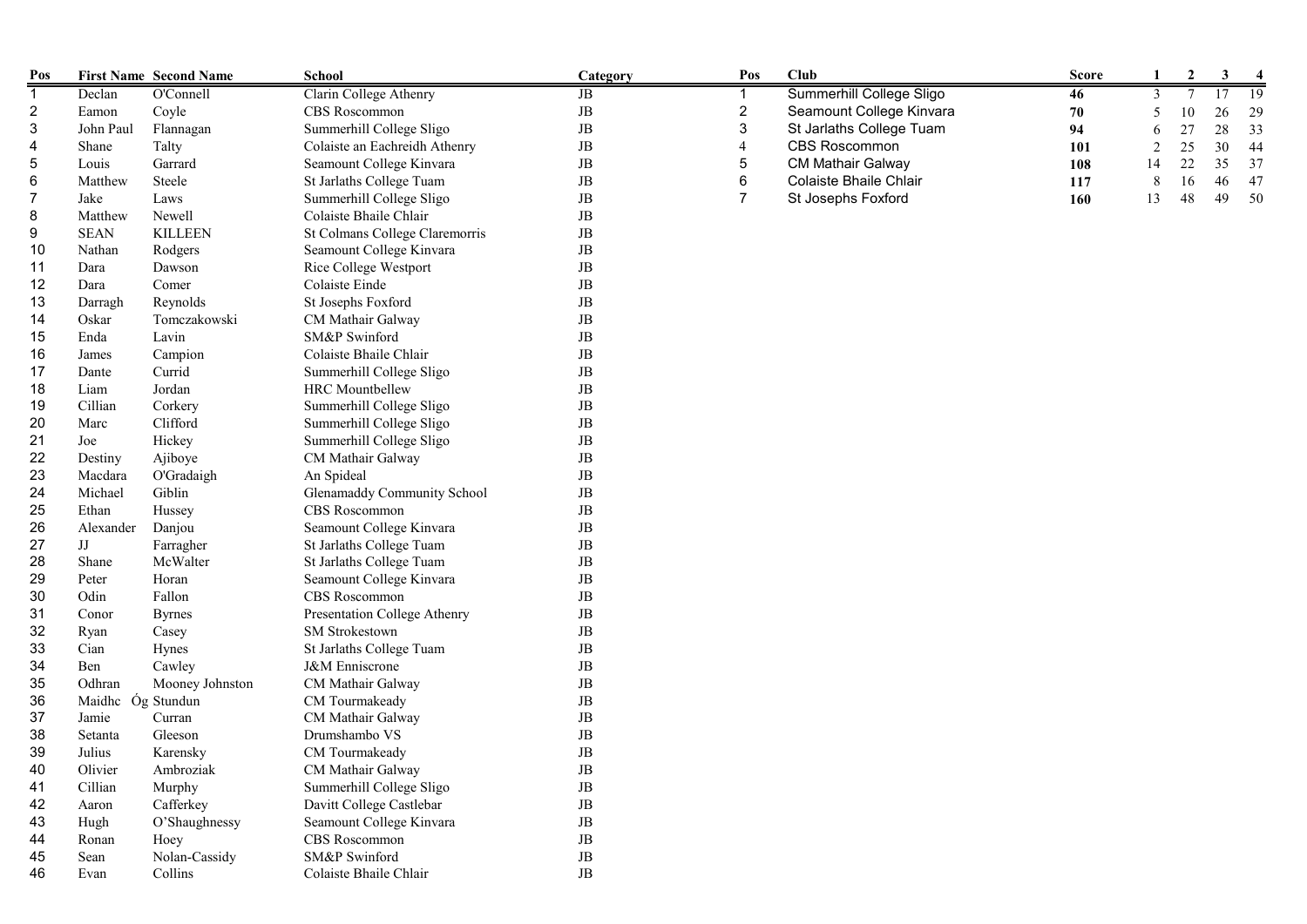| Pos                     |                   | <b>First Name Second Name</b> | School                         | Category    | Pos            | Club                     | <b>Score</b> |    | $\mathbf{2}$ | 3  |      |
|-------------------------|-------------------|-------------------------------|--------------------------------|-------------|----------------|--------------------------|--------------|----|--------------|----|------|
| $\mathbf{1}$            | Declan            | O'Connell                     | Clarin College Athenry         | JB          | $\mathbf{1}$   | Summerhill College Sligo | 46           |    |              |    | 19   |
| $\overline{\mathbf{c}}$ | Eamon             | Coyle                         | CBS Roscommon                  | $\rm{JB}$   | $\overline{c}$ | Seamount College Kinvara | 70           |    | 10           | 26 | 29   |
| 3                       | John Paul         | Flannagan                     | Summerhill College Sligo       | $\rm{JB}$   | $\sqrt{3}$     | St Jarlaths College Tuam | 94           |    | 27           | 28 | 33   |
| 4                       | Shane             | Talty                         | Colaiste an Eachreidh Athenry  | $_{\rm JB}$ | $\overline{4}$ | <b>CBS Roscommon</b>     | 101          |    | 25           | 30 | 44   |
| 5                       | Louis             | Garrard                       | Seamount College Kinvara       | $\rm{JB}$   | 5              | <b>CM Mathair Galway</b> | 108          | 14 | 22           | 35 | 37   |
| 6                       | Matthew           | Steele                        | St Jarlaths College Tuam       | JB          | $\,6$          | Colaiste Bhaile Chlair   | 117          | 8  | 16           | 46 | 47   |
| 7                       | Jake              | Laws                          | Summerhill College Sligo       | $_{\rm JB}$ | $\overline{7}$ | St Josephs Foxford       | 160          | 13 | 48           | 49 | - 50 |
| 8                       | Matthew           | Newell                        | Colaiste Bhaile Chlair         | $_{\rm JB}$ |                |                          |              |    |              |    |      |
| 9                       | <b>SEAN</b>       | <b>KILLEEN</b>                | St Colmans College Claremorris | $_{\rm JB}$ |                |                          |              |    |              |    |      |
| 10                      | Nathan            | Rodgers                       | Seamount College Kinvara       | $\rm{JB}$   |                |                          |              |    |              |    |      |
| 11                      | Dara              | Dawson                        | Rice College Westport          | $_{\rm JB}$ |                |                          |              |    |              |    |      |
| 12                      | Dara              | Comer                         | Colaiste Einde                 | $_{\rm JB}$ |                |                          |              |    |              |    |      |
| 13                      | Darragh           | Reynolds                      | St Josephs Foxford             | $_{\rm JB}$ |                |                          |              |    |              |    |      |
| 14                      | Oskar             | Tomczakowski                  | CM Mathair Galway              | $_{\rm JB}$ |                |                          |              |    |              |    |      |
| 15                      | Enda              | Lavin                         | SM&P Swinford                  | $_{\rm JB}$ |                |                          |              |    |              |    |      |
| 16                      | James             | Campion                       | Colaiste Bhaile Chlair         | $_{\rm JB}$ |                |                          |              |    |              |    |      |
| 17                      | Dante             | Currid                        | Summerhill College Sligo       | $_{\rm JB}$ |                |                          |              |    |              |    |      |
| 18                      | Liam              | Jordan                        | HRC Mountbellew                | $_{\rm JB}$ |                |                          |              |    |              |    |      |
| 19                      | Cillian           | Corkery                       | Summerhill College Sligo       | $\rm{JB}$   |                |                          |              |    |              |    |      |
| 20                      | Marc              | Clifford                      | Summerhill College Sligo       | $_{\rm JB}$ |                |                          |              |    |              |    |      |
| 21                      | Joe               | Hickey                        | Summerhill College Sligo       | JB          |                |                          |              |    |              |    |      |
| 22                      | Destiny           | Ajiboye                       | CM Mathair Galway              | $_{\rm JB}$ |                |                          |              |    |              |    |      |
| 23                      | Macdara           | O'Gradaigh                    | An Spideal                     | $\rm{JB}$   |                |                          |              |    |              |    |      |
| 24                      | Michael           | Giblin                        | Glenamaddy Community School    | $_{\rm JB}$ |                |                          |              |    |              |    |      |
| 25                      | Ethan             | Hussey                        | CBS Roscommon                  | $_{\rm JB}$ |                |                          |              |    |              |    |      |
| 26                      | Alexander         | Danjou                        | Seamount College Kinvara       | JB          |                |                          |              |    |              |    |      |
| 27                      | $\rm JJ$          | Farragher                     | St Jarlaths College Tuam       | $_{\rm JB}$ |                |                          |              |    |              |    |      |
| 28                      | Shane             | McWalter                      | St Jarlaths College Tuam       | $_{\rm JB}$ |                |                          |              |    |              |    |      |
| 29                      | Peter             | Horan                         | Seamount College Kinvara       | $_{\rm JB}$ |                |                          |              |    |              |    |      |
| 30                      | Odin              | Fallon                        | CBS Roscommon                  | $\rm{JB}$   |                |                          |              |    |              |    |      |
| 31                      | Conor             | <b>Byrnes</b>                 | Presentation College Athenry   | $_{\rm JB}$ |                |                          |              |    |              |    |      |
| 32                      | Ryan              | Casey                         | SM Strokestown                 | JB          |                |                          |              |    |              |    |      |
| 33                      | Cian              | Hynes                         | St Jarlaths College Tuam       | JB          |                |                          |              |    |              |    |      |
| 34                      | Ben               | Cawley                        | J&M Enniscrone                 | JB          |                |                          |              |    |              |    |      |
| 35                      | Odhran            | Mooney Johnston               | CM Mathair Galway              | $_{\rm JB}$ |                |                          |              |    |              |    |      |
| 36                      | Maidhe Óg Stundun |                               | CM Tourmakeady                 | $_{\rm JB}$ |                |                          |              |    |              |    |      |
| 37                      | Jamie             | Curran                        | CM Mathair Galway              | $_{\rm JB}$ |                |                          |              |    |              |    |      |
| 38                      | Setanta           | Gleeson                       | Drumshambo VS                  | $_{\rm JB}$ |                |                          |              |    |              |    |      |
| 39                      | Julius            | Karensky                      | CM Tourmakeady                 | JB          |                |                          |              |    |              |    |      |
| 40                      | Olivier           | Ambroziak                     | CM Mathair Galway              | $\rm{JB}$   |                |                          |              |    |              |    |      |
| 41                      | Cillian           | Murphy                        | Summerhill College Sligo       | $_{\rm JB}$ |                |                          |              |    |              |    |      |
| 42                      | Aaron             | Cafferkey                     | Davitt College Castlebar       | $_{\rm JB}$ |                |                          |              |    |              |    |      |
| 43                      | Hugh              | O'Shaughnessy                 | Seamount College Kinvara       | $_{\rm JB}$ |                |                          |              |    |              |    |      |
| 44                      | Ronan             | Hoey                          | CBS Roscommon                  | $_{\rm JB}$ |                |                          |              |    |              |    |      |
|                         |                   |                               |                                |             |                |                          |              |    |              |    |      |
| 45                      | Sean              | Nolan-Cassidy                 | SM&P Swinford                  | $\rm{JB}$   |                |                          |              |    |              |    |      |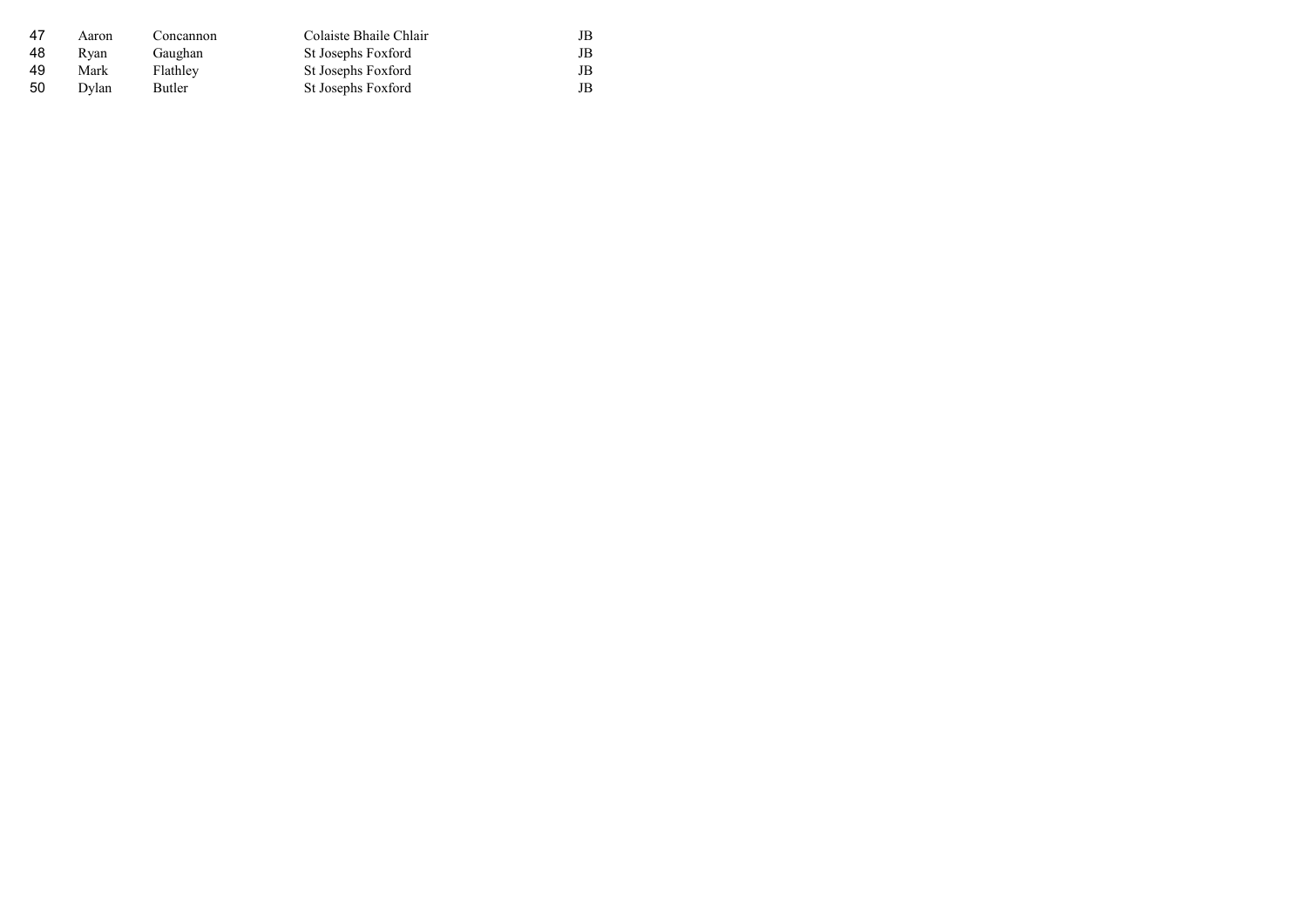| -47 | Aaron | Concannon     | Colaiste Bhaile Chlair | JB |
|-----|-------|---------------|------------------------|----|
| 48  | Rvan  | Gaughan       | St Josephs Foxford     | JB |
| -49 | Mark  | Flathley      | St Josephs Foxford     | JB |
| -50 | Dvlan | <b>Butler</b> | St Josephs Foxford     | JB |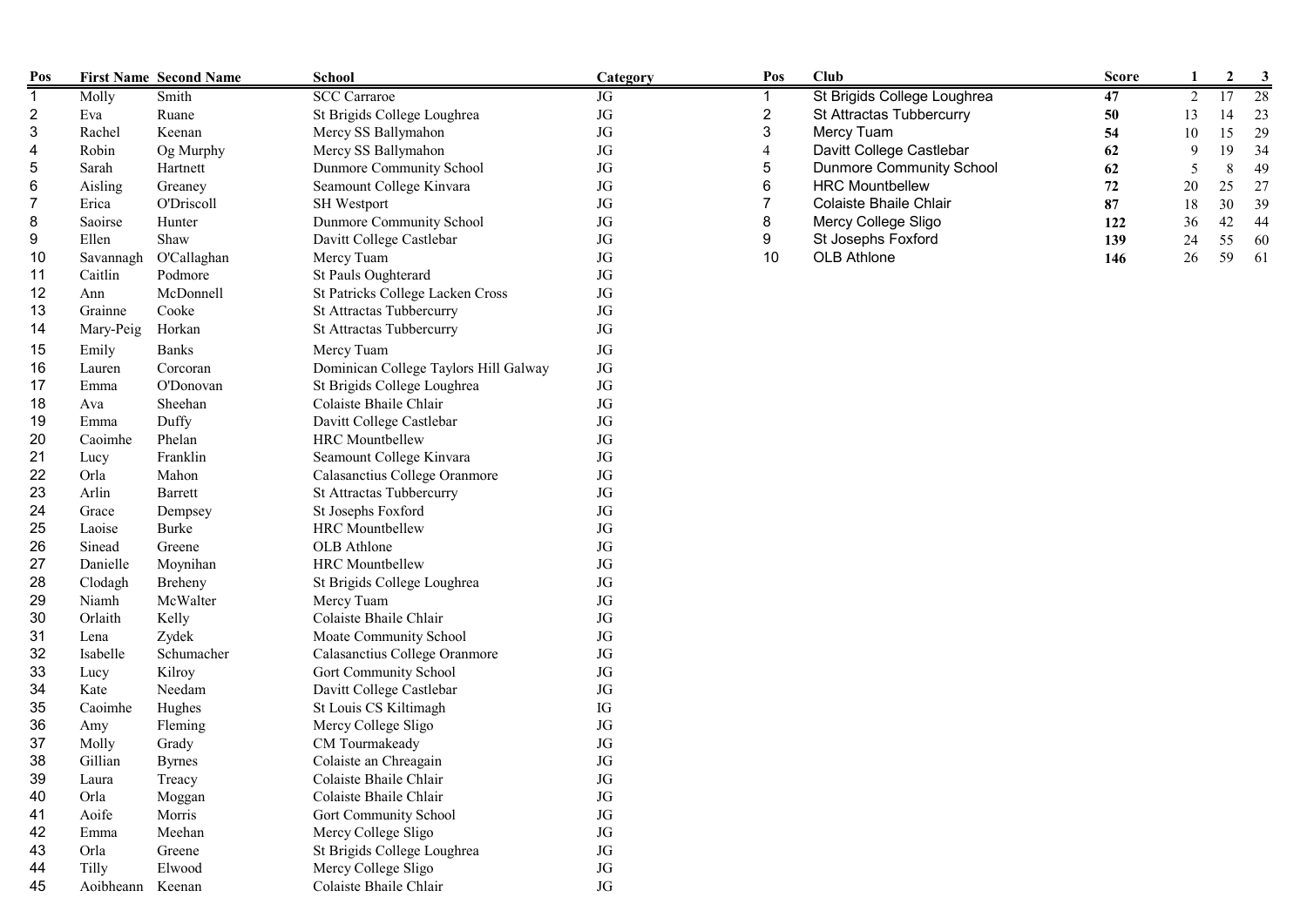| Pos            |                  | <b>First Name Second Name</b> | <b>School</b>                         | Category   | Pos                     | <b>Club</b>                     | <b>Score</b> |    | $\boldsymbol{2}$ | 3  |
|----------------|------------------|-------------------------------|---------------------------------------|------------|-------------------------|---------------------------------|--------------|----|------------------|----|
| $\overline{1}$ | Molly            | Smith                         | <b>SCC</b> Carraroe                   | JG         |                         | St Brigids College Loughrea     | 47           | 2  | $\overline{17}$  | 28 |
| $\overline{c}$ | Eva              | Ruane                         | St Brigids College Loughrea           | $\rm JG$   | $\overline{\mathbf{c}}$ | St Attractas Tubbercurry        | 50           | 13 | 14               | 23 |
| 3              | Rachel           | Keenan                        | Mercy SS Ballymahon                   | JG         | 3                       | Mercy Tuam                      | 54           | 10 | 15               | 29 |
| 4              | Robin            | Og Murphy                     | Mercy SS Ballymahon                   | JG         | 4                       | Davitt College Castlebar        | 62           | 9  | 19               | 34 |
| 5              | Sarah            | Hartnett                      | Dunmore Community School              | JG         | 5                       | <b>Dunmore Community School</b> | 62           | 5  | 8                | 49 |
| 6              | Aisling          | Greaney                       | Seamount College Kinvara              | JG         | 6                       | <b>HRC Mountbellew</b>          | 72           | 20 | 25               | 27 |
| 7              | Erica            | O'Driscoll                    | SH Westport                           | JG         | 7                       | Colaiste Bhaile Chlair          | 87           | 18 | 30               | 39 |
| 8              | Saoirse          | Hunter                        | Dunmore Community School              | $\rm JG$   | 8                       | Mercy College Sligo             | 122          | 36 | 42               | 44 |
| 9              | Ellen            | Shaw                          | Davitt College Castlebar              | JG         | 9                       | St Josephs Foxford              | 139          | 24 | 55               | 60 |
| 10             | Savannagh        | O'Callaghan                   | Mercy Tuam                            | JG         | 10                      | OLB Athlone                     | 146          | 26 | 59               | 61 |
| 11             | Caitlin          | Podmore                       | St Pauls Oughterard                   | JG         |                         |                                 |              |    |                  |    |
| 12             | Ann              | McDonnell                     | St Patricks College Lacken Cross      | JG         |                         |                                 |              |    |                  |    |
| 13             | Grainne          | Cooke                         | St Attractas Tubbercurry              | JG         |                         |                                 |              |    |                  |    |
| 14             | Mary-Peig        | Horkan                        | St Attractas Tubbercurry              | JG         |                         |                                 |              |    |                  |    |
| 15             | Emily            | <b>Banks</b>                  | Mercy Tuam                            | JG         |                         |                                 |              |    |                  |    |
| 16             | Lauren           | Corcoran                      | Dominican College Taylors Hill Galway | $\rm JG$   |                         |                                 |              |    |                  |    |
| 17             | Emma             | O'Donovan                     | St Brigids College Loughrea           | JG         |                         |                                 |              |    |                  |    |
| 18             | Ava              | Sheehan                       | Colaiste Bhaile Chlair                | $\rm JG$   |                         |                                 |              |    |                  |    |
| 19             | Emma             | Duffy                         | Davitt College Castlebar              | JG         |                         |                                 |              |    |                  |    |
| 20             | Caoimhe          | Phelan                        | <b>HRC</b> Mountbellew                | JG         |                         |                                 |              |    |                  |    |
| 21             | Lucy             | Franklin                      | Seamount College Kinvara              | JG         |                         |                                 |              |    |                  |    |
| 22             | Orla             | Mahon                         | Calasanctius College Oranmore         | JG         |                         |                                 |              |    |                  |    |
| 23             | Arlin            | Barrett                       | St Attractas Tubbercurry              | JG         |                         |                                 |              |    |                  |    |
| 24             | Grace            | Dempsey                       | St Josephs Foxford                    | $\rm JG$   |                         |                                 |              |    |                  |    |
| 25             | Laoise           | Burke                         | <b>HRC</b> Mountbellew                | $\rm JG$   |                         |                                 |              |    |                  |    |
| 26             | Sinead           | Greene                        | OLB Athlone                           | JG         |                         |                                 |              |    |                  |    |
| 27             | Danielle         | Moynihan                      | <b>HRC</b> Mountbellew                | JG         |                         |                                 |              |    |                  |    |
| 28             | Clodagh          | Breheny                       | St Brigids College Loughrea           | $\rm JG$   |                         |                                 |              |    |                  |    |
| 29             | Niamh            | McWalter                      | Mercy Tuam                            | JG         |                         |                                 |              |    |                  |    |
| 30             | Orlaith          | Kelly                         | Colaiste Bhaile Chlair                | JG         |                         |                                 |              |    |                  |    |
| 31             | Lena             | Zydek                         | Moate Community School                | JG         |                         |                                 |              |    |                  |    |
| 32             | Isabelle         | Schumacher                    | Calasanctius College Oranmore         | JG         |                         |                                 |              |    |                  |    |
| 33             | Lucy             | Kilroy                        | Gort Community School                 | JG         |                         |                                 |              |    |                  |    |
| 34             | Kate             | Needam                        | Davitt College Castlebar              | JG         |                         |                                 |              |    |                  |    |
| 35             | Caoimhe          | Hughes                        | St Louis CS Kiltimagh                 | ${\rm IG}$ |                         |                                 |              |    |                  |    |
| 36             | Amy              | Fleming                       | Mercy College Sligo                   | JG         |                         |                                 |              |    |                  |    |
| 37             | Molly            | Grady                         | CM Tourmakeady                        | JG         |                         |                                 |              |    |                  |    |
| 38             | Gillian          | <b>Byrnes</b>                 | Colaiste an Chreagain                 | $\rm JG$   |                         |                                 |              |    |                  |    |
| 39             | Laura            | Treacy                        | Colaiste Bhaile Chlair                | JG         |                         |                                 |              |    |                  |    |
| 40             | Orla             | Moggan                        | Colaiste Bhaile Chlair                | JG         |                         |                                 |              |    |                  |    |
| 41             | Aoife            | Morris                        | Gort Community School                 | $\rm JG$   |                         |                                 |              |    |                  |    |
| 42             | Emma             | Meehan                        | Mercy College Sligo                   | JG         |                         |                                 |              |    |                  |    |
| 43             | Orla             | Greene                        | St Brigids College Loughrea           | JG         |                         |                                 |              |    |                  |    |
| 44             | Tilly            | Elwood                        | Mercy College Sligo                   | $\rm JG$   |                         |                                 |              |    |                  |    |
| 45             | Aoibheann Keenan |                               | Colaiste Bhaile Chlair                | $\rm JG$   |                         |                                 |              |    |                  |    |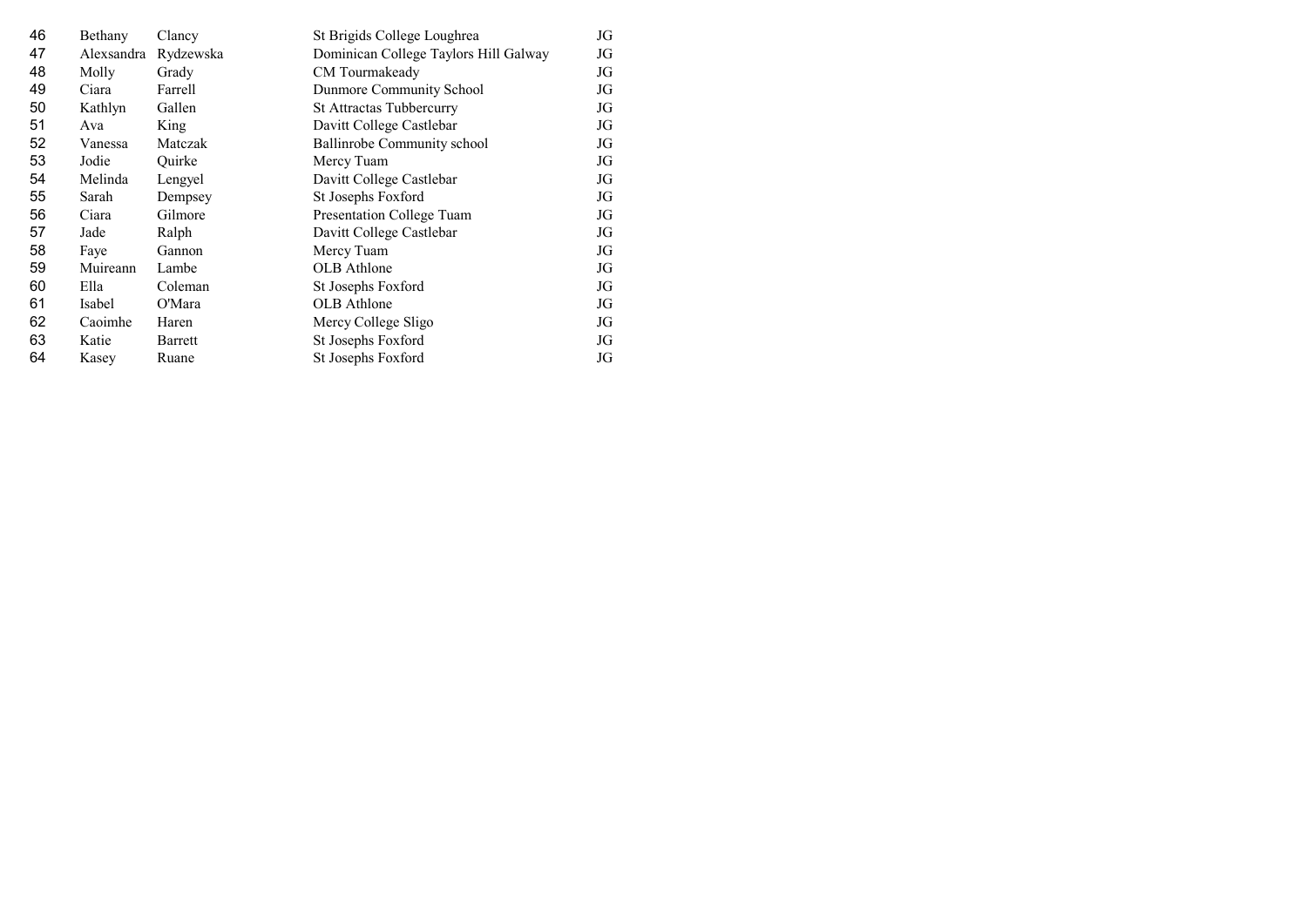| 46 | Bethany    | Clancy    | St Brigids College Loughrea           | JG |
|----|------------|-----------|---------------------------------------|----|
| 47 | Alexsandra | Rydzewska | Dominican College Taylors Hill Galway | JG |
| 48 | Molly      | Grady     | CM Tourmakeady                        | JG |
| 49 | Ciara      | Farrell   | Dunmore Community School              | JG |
| 50 | Kathlyn    | Gallen    | <b>St Attractas Tubbercurry</b>       | JG |
| 51 | Ava        | King      | Davitt College Castlebar              | JG |
| 52 | Vanessa    | Matczak   | Ballinrobe Community school           | JG |
| 53 | Jodie      | Ouirke    | Mercy Tuam                            | JG |
| 54 | Melinda    | Lengyel   | Davitt College Castlebar              | JG |
| 55 | Sarah      | Dempsey   | St Josephs Foxford                    | JG |
| 56 | Ciara      | Gilmore   | Presentation College Tuam             | JG |
| 57 | Jade       | Ralph     | Davitt College Castlebar              | JG |
| 58 | Faye       | Gannon    | Mercy Tuam                            | JG |
| 59 | Muireann   | Lambe     | <b>OLB</b> Athlone                    | JG |
| 60 | Ella       | Coleman   | St Josephs Foxford                    | JG |
| 61 | Isabel     | O'Mara    | OLB Athlone                           | JG |
| 62 | Caoimhe    | Haren     | Mercy College Sligo                   | JG |
| 63 | Katie      | Barrett   | St Josephs Foxford                    | JG |
| 64 | Kasey      | Ruane     | St Josephs Foxford                    | JG |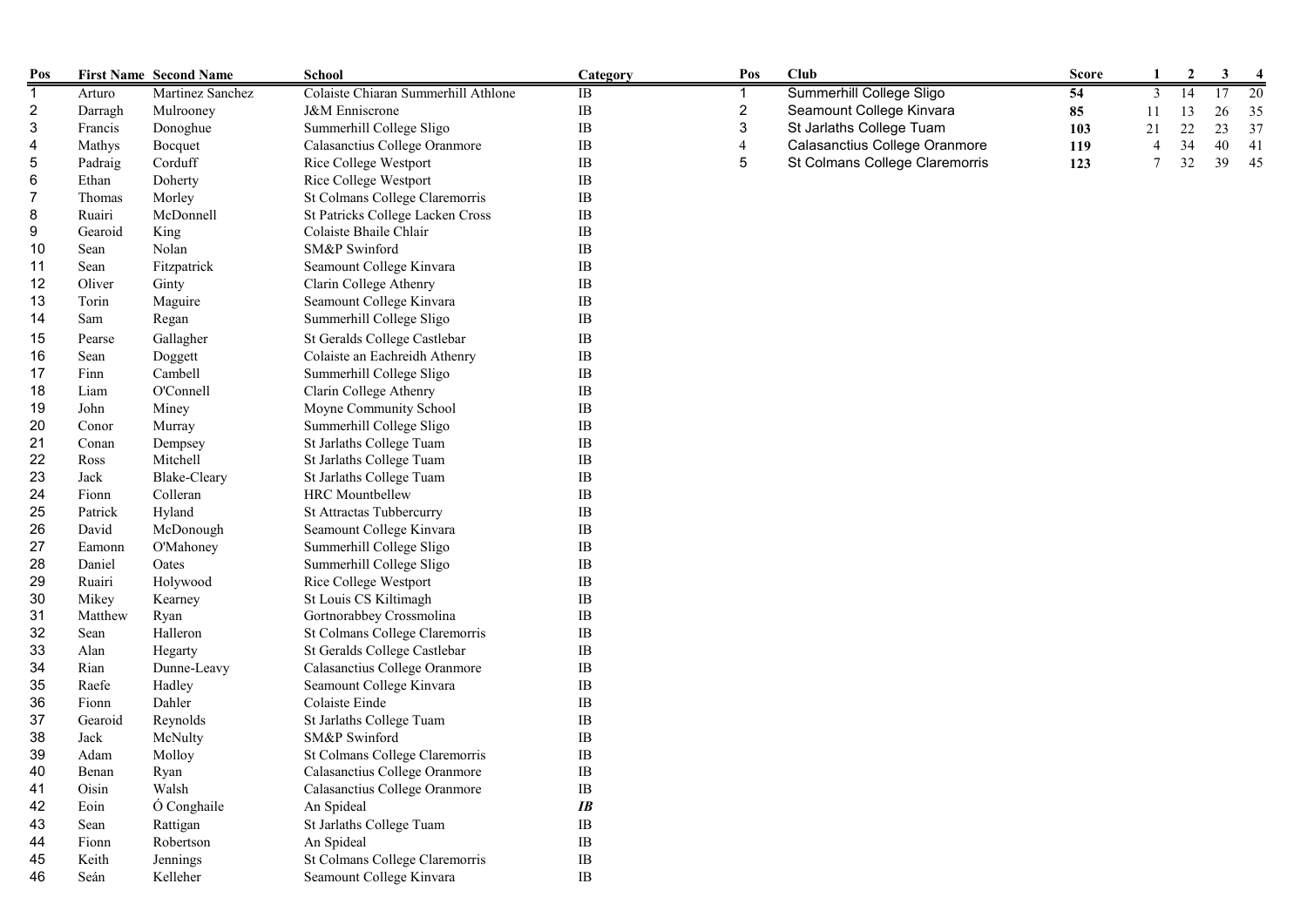| Pos            |         | <b>First Name Second Name</b> | School                              | Category | Pos              | Club                           | <b>Score</b> | 1              | $\mathbf{2}$ | 3  |    |
|----------------|---------|-------------------------------|-------------------------------------|----------|------------------|--------------------------------|--------------|----------------|--------------|----|----|
| $\mathbf{1}$   | Arturo  | Martinez Sanchez              | Colaiste Chiaran Summerhill Athlone | IB       | 1                | Summerhill College Sligo       | 54           | 3              | 14           | 17 | 20 |
| $\overline{2}$ | Darragh | Mulrooney                     | J&M Enniscrone                      | $\rm IB$ | $\boldsymbol{2}$ | Seamount College Kinvara       | 85           | 11             | 13           | 26 | 35 |
| 3              | Francis | Donoghue                      | Summerhill College Sligo            | $\rm IB$ | 3                | St Jarlaths College Tuam       | 103          | 21             | 22           | 23 | 37 |
| 4              | Mathys  | Bocquet                       | Calasanctius College Oranmore       | $\rm IB$ | 4                | Calasanctius College Oranmore  | 119          | $\overline{4}$ | 34           | 40 | 41 |
| 5              | Padraig | Corduff                       | Rice College Westport               | $\rm IB$ | 5                | St Colmans College Claremorris | 123          | $\overline{7}$ | 32           | 39 | 45 |
| 6              | Ethan   | Doherty                       | Rice College Westport               | $\rm IB$ |                  |                                |              |                |              |    |    |
| 7              | Thomas  | Morley                        | St Colmans College Claremorris      | IB       |                  |                                |              |                |              |    |    |
| 8              | Ruairi  | McDonnell                     | St Patricks College Lacken Cross    | IB       |                  |                                |              |                |              |    |    |
| 9              | Gearoid | King                          | Colaiste Bhaile Chlair              | $\rm IB$ |                  |                                |              |                |              |    |    |
| 10             | Sean    | Nolan                         | SM&P Swinford                       | IB       |                  |                                |              |                |              |    |    |
| 11             | Sean    | Fitzpatrick                   | Seamount College Kinvara            | $\rm IB$ |                  |                                |              |                |              |    |    |
| 12             | Oliver  | Ginty                         | Clarin College Athenry              | $\rm IB$ |                  |                                |              |                |              |    |    |
| 13             | Torin   | Maguire                       | Seamount College Kinvara            | $\rm IB$ |                  |                                |              |                |              |    |    |
| 14             | Sam     | Regan                         | Summerhill College Sligo            | IB       |                  |                                |              |                |              |    |    |
| 15             | Pearse  | Gallagher                     | St Geralds College Castlebar        | $\rm IB$ |                  |                                |              |                |              |    |    |
| 16             | Sean    | Doggett                       | Colaiste an Eachreidh Athenry       | $\rm IB$ |                  |                                |              |                |              |    |    |
| 17             | Finn    | Cambell                       | Summerhill College Sligo            | IB       |                  |                                |              |                |              |    |    |
| 18             | Liam    | O'Connell                     | Clarin College Athenry              | IB       |                  |                                |              |                |              |    |    |
| 19             | John    | Miney                         | Moyne Community School              | $\rm IB$ |                  |                                |              |                |              |    |    |
| 20             | Conor   | Murray                        | Summerhill College Sligo            | IB       |                  |                                |              |                |              |    |    |
| 21             | Conan   | Dempsey                       | St Jarlaths College Tuam            | $\rm IB$ |                  |                                |              |                |              |    |    |
| 22             | Ross    | Mitchell                      | St Jarlaths College Tuam            | $\rm IB$ |                  |                                |              |                |              |    |    |
| 23             | Jack    | <b>Blake-Cleary</b>           | St Jarlaths College Tuam            | $\rm IB$ |                  |                                |              |                |              |    |    |
| 24             | Fionn   | Colleran                      | <b>HRC</b> Mountbellew              | IB       |                  |                                |              |                |              |    |    |
| 25             | Patrick | Hyland                        | St Attractas Tubbercurry            | IB       |                  |                                |              |                |              |    |    |
| 26             | David   | McDonough                     | Seamount College Kinvara            | $\rm IB$ |                  |                                |              |                |              |    |    |
| 27             | Eamonn  | O'Mahoney                     | Summerhill College Sligo            | $\rm IB$ |                  |                                |              |                |              |    |    |
| 28             | Daniel  | Oates                         | Summerhill College Sligo            | $\rm IB$ |                  |                                |              |                |              |    |    |
| 29             | Ruairi  | Holywood                      | Rice College Westport               | $\rm IB$ |                  |                                |              |                |              |    |    |
| 30             | Mikey   | Kearney                       | St Louis CS Kiltimagh               | $\rm IB$ |                  |                                |              |                |              |    |    |
| 31             | Matthew | Ryan                          | Gortnorabbey Crossmolina            | $\rm IB$ |                  |                                |              |                |              |    |    |
| 32             | Sean    | Halleron                      | St Colmans College Claremorris      | IB       |                  |                                |              |                |              |    |    |
| 33             | Alan    | Hegarty                       | St Geralds College Castlebar        | $\rm IB$ |                  |                                |              |                |              |    |    |
| 34             | Rian    | Dunne-Leavy                   | Calasanctius College Oranmore       | $\rm IB$ |                  |                                |              |                |              |    |    |
| 35             | Raefe   | Hadley                        | Seamount College Kinvara            | $\rm IB$ |                  |                                |              |                |              |    |    |
| 36             | Fionn   | Dahler                        | Colaiste Einde                      | $\rm IB$ |                  |                                |              |                |              |    |    |
| 37             | Gearoid | Reynolds                      | St Jarlaths College Tuam            | $\rm IB$ |                  |                                |              |                |              |    |    |
| 38             | Jack    | McNulty                       | SM&P Swinford                       | IB       |                  |                                |              |                |              |    |    |
| 39             | Adam    | Molloy                        | St Colmans College Claremorris      | $\rm IB$ |                  |                                |              |                |              |    |    |
| 40             | Benan   | Ryan                          | Calasanctius College Oranmore       | $\rm IB$ |                  |                                |              |                |              |    |    |
| 41             | Oisin   | Walsh                         | Calasanctius College Oranmore       | $\rm IB$ |                  |                                |              |                |              |    |    |
| 42             | Eoin    | Ó Conghaile                   | An Spideal                          | IB       |                  |                                |              |                |              |    |    |
| 43             | Sean    | Rattigan                      | St Jarlaths College Tuam            | $\rm IB$ |                  |                                |              |                |              |    |    |
| 44             | Fionn   | Robertson                     | An Spideal                          | $\rm IB$ |                  |                                |              |                |              |    |    |
| 45             | Keith   | Jennings                      | St Colmans College Claremorris      | $\rm IB$ |                  |                                |              |                |              |    |    |
| 46             | Seán    | Kelleher                      | Seamount College Kinvara            | $\rm IB$ |                  |                                |              |                |              |    |    |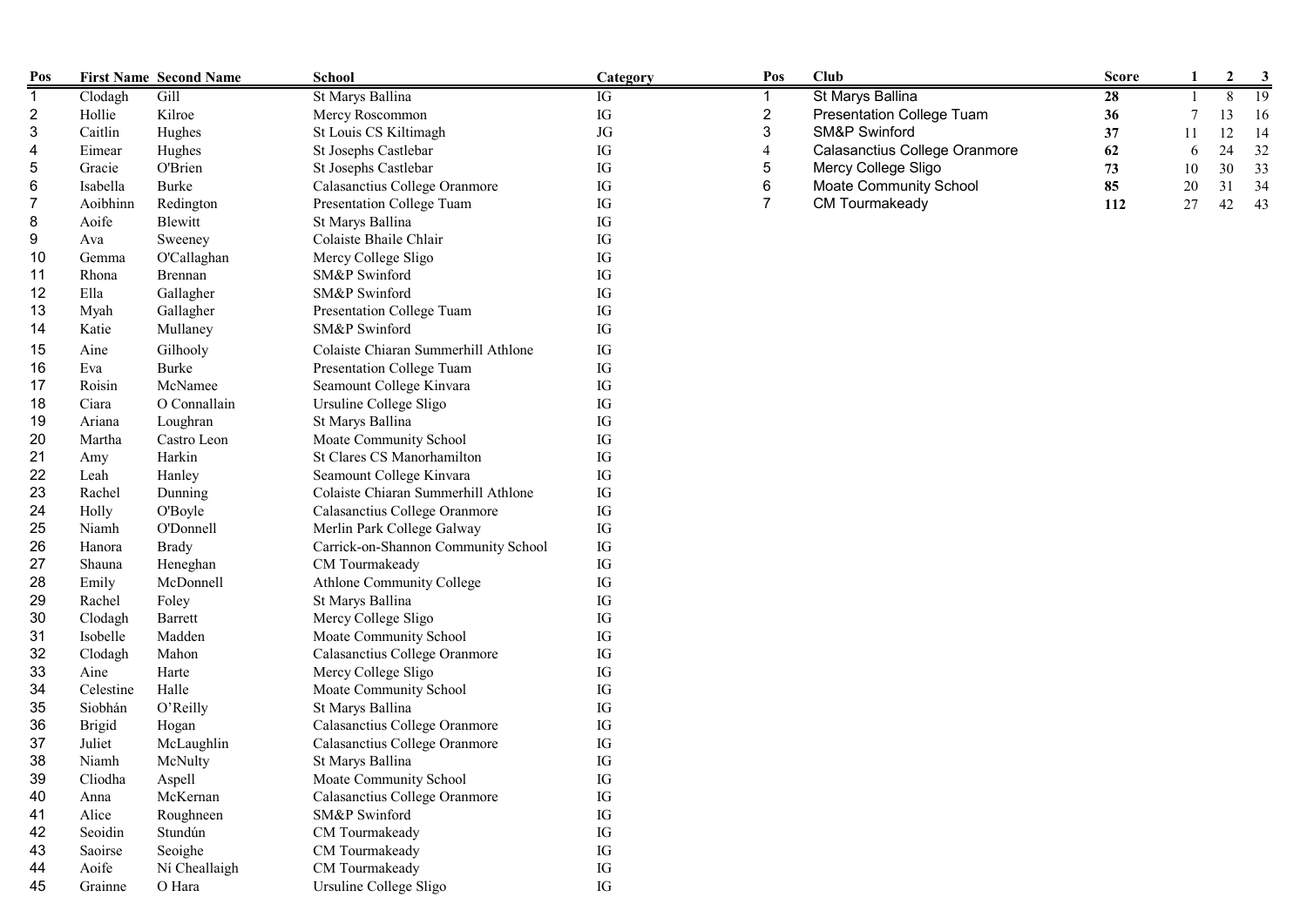| Pos |               | <b>First Name Second Name</b> | <b>School</b>                       | <b>Category</b> | Pos                       | <b>Club</b>                      | <b>Score</b> |    | $\mathbf{2}$ | 3               |
|-----|---------------|-------------------------------|-------------------------------------|-----------------|---------------------------|----------------------------------|--------------|----|--------------|-----------------|
| 1   | Clodagh       | Gill                          | St Marys Ballina                    | IG              |                           | St Marys Ballina                 | 28           |    | 8            | $\overline{19}$ |
| 2   | Hollie        | Kilroe                        | Mercy Roscommon                     | IG              | $\sqrt{2}$                | <b>Presentation College Tuam</b> | 36           |    | 13           | 16              |
| 3   | Caitlin       | Hughes                        | St Louis CS Kiltimagh               | $\rm JG$        | $\ensuremath{\mathsf{3}}$ | SM&P Swinford                    | 37           | 11 | 12           | 14              |
| 4   | Eimear        | Hughes                        | St Josephs Castlebar                | IG              | $\overline{4}$            | Calasanctius College Oranmore    | 62           | 6  | 24           | 32              |
| 5   | Gracie        | <b>O'Brien</b>                | St Josephs Castlebar                | IG              | $\sqrt{5}$                | Mercy College Sligo              | 73           | 10 | 30           | 33              |
| 6   | Isabella      | Burke                         | Calasanctius College Oranmore       | IG              | $\,6\,$                   | <b>Moate Community School</b>    | 85           | 20 | 31           | 34              |
| 7   | Aoibhinn      | Redington                     | Presentation College Tuam           | IG              | $\overline{7}$            | CM Tourmakeady                   | 112          | 27 | 42           | 43              |
| 8   | Aoife         | Blewitt                       | St Marys Ballina                    | IG              |                           |                                  |              |    |              |                 |
| 9   | Ava           | Sweeney                       | Colaiste Bhaile Chlair              | IG              |                           |                                  |              |    |              |                 |
| 10  | Gemma         | O'Callaghan                   | Mercy College Sligo                 | IG              |                           |                                  |              |    |              |                 |
| 11  | Rhona         | Brennan                       | SM&P Swinford                       | IG              |                           |                                  |              |    |              |                 |
| 12  | Ella          | Gallagher                     | SM&P Swinford                       | IG              |                           |                                  |              |    |              |                 |
| 13  | Myah          | Gallagher                     | Presentation College Tuam           | IG              |                           |                                  |              |    |              |                 |
| 14  | Katie         | Mullaney                      | SM&P Swinford                       | IG              |                           |                                  |              |    |              |                 |
| 15  | Aine          | Gilhooly                      | Colaiste Chiaran Summerhill Athlone | IG              |                           |                                  |              |    |              |                 |
| 16  | Eva           | <b>Burke</b>                  | Presentation College Tuam           | IG              |                           |                                  |              |    |              |                 |
| 17  | Roisin        | McNamee                       | Seamount College Kinvara            | IG              |                           |                                  |              |    |              |                 |
| 18  | Ciara         | O Connallain                  | Ursuline College Sligo              | IG              |                           |                                  |              |    |              |                 |
| 19  | Ariana        | Loughran                      | St Marys Ballina                    | IG              |                           |                                  |              |    |              |                 |
| 20  | Martha        | Castro Leon                   | Moate Community School              | IG              |                           |                                  |              |    |              |                 |
| 21  | Amy           | Harkin                        | St Clares CS Manorhamilton          | IG              |                           |                                  |              |    |              |                 |
| 22  | Leah          | Hanley                        | Seamount College Kinvara            | IG              |                           |                                  |              |    |              |                 |
| 23  | Rachel        | Dunning                       | Colaiste Chiaran Summerhill Athlone | ${\rm IG}$      |                           |                                  |              |    |              |                 |
| 24  | Holly         | O'Boyle                       | Calasanctius College Oranmore       | ${\rm IG}$      |                           |                                  |              |    |              |                 |
| 25  | Niamh         | O'Donnell                     | Merlin Park College Galway          | ${\rm IG}$      |                           |                                  |              |    |              |                 |
| 26  | Hanora        | <b>Brady</b>                  | Carrick-on-Shannon Community School | ${\rm IG}$      |                           |                                  |              |    |              |                 |
| 27  | Shauna        | Heneghan                      | CM Tourmakeady                      | ${\rm IG}$      |                           |                                  |              |    |              |                 |
| 28  | Emily         | McDonnell                     | Athlone Community College           | IG              |                           |                                  |              |    |              |                 |
| 29  | Rachel        | Foley                         | St Marys Ballina                    | IG              |                           |                                  |              |    |              |                 |
| 30  | Clodagh       | Barrett                       | Mercy College Sligo                 | IG              |                           |                                  |              |    |              |                 |
| 31  | Isobelle      | Madden                        | Moate Community School              | IG              |                           |                                  |              |    |              |                 |
| 32  | Clodagh       | Mahon                         | Calasanctius College Oranmore       | IG              |                           |                                  |              |    |              |                 |
| 33  | Aine          | Harte                         | Mercy College Sligo                 | ${\rm IG}$      |                           |                                  |              |    |              |                 |
| 34  | Celestine     | Halle                         | Moate Community School              | IG              |                           |                                  |              |    |              |                 |
| 35  | Siobhán       | O'Reilly                      | St Marys Ballina                    | IG              |                           |                                  |              |    |              |                 |
| 36  | <b>Brigid</b> | Hogan                         | Calasanctius College Oranmore       | ${\rm IG}$      |                           |                                  |              |    |              |                 |
| 37  | Juliet        | McLaughlin                    | Calasanctius College Oranmore       | IG              |                           |                                  |              |    |              |                 |
| 38  | Niamh         | McNulty                       | St Marys Ballina                    | IG              |                           |                                  |              |    |              |                 |
| 39  | Cliodha       | Aspell                        | Moate Community School              | IG              |                           |                                  |              |    |              |                 |
| 40  | Anna          | McKernan                      | Calasanctius College Oranmore       | ${\rm IG}$      |                           |                                  |              |    |              |                 |
| 41  | Alice         | Roughneen                     | SM&P Swinford                       | IG              |                           |                                  |              |    |              |                 |
| 42  | Seoidin       | Stundún                       | CM Tourmakeady                      | IG              |                           |                                  |              |    |              |                 |
| 43  | Saoirse       | Seoighe                       | CM Tourmakeady                      | IG              |                           |                                  |              |    |              |                 |
| 44  | Aoife         | Ní Cheallaigh                 | CM Tourmakeady                      | IG              |                           |                                  |              |    |              |                 |
| 45  | Grainne       | O Hara                        | Ursuline College Sligo              | IG              |                           |                                  |              |    |              |                 |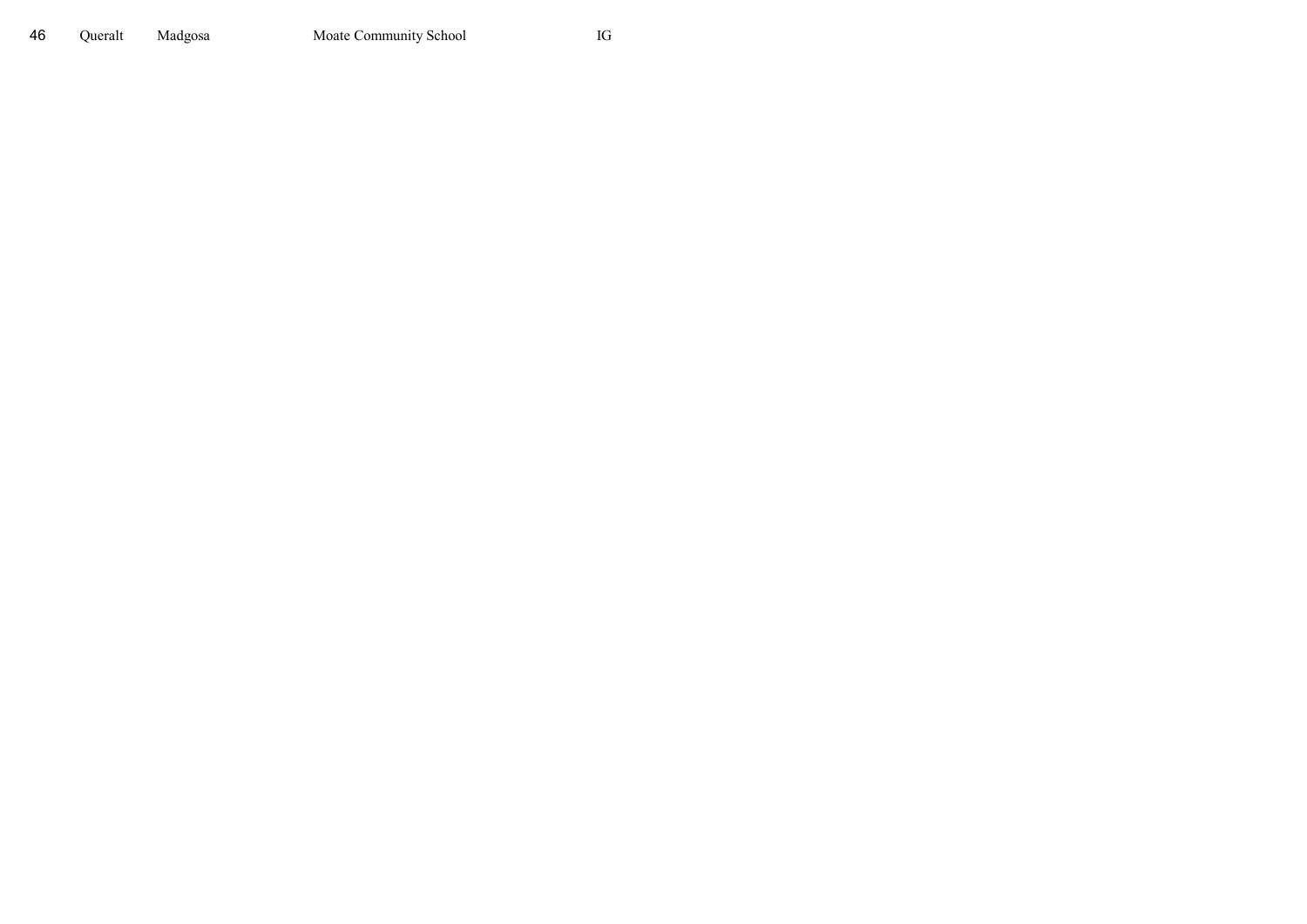Queralt Madgosa Moate Community School IG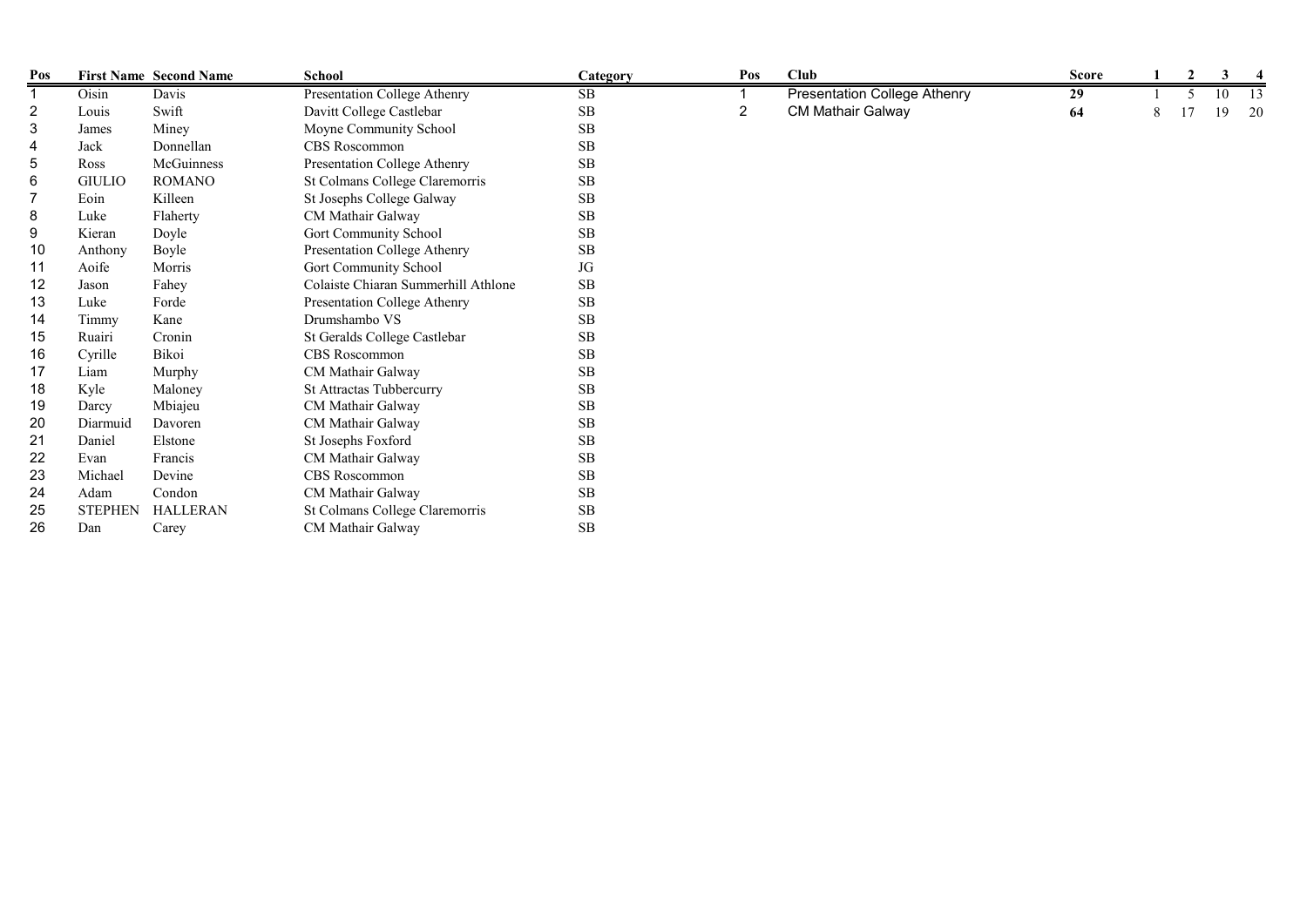| Pos            |                | <b>First Name Second Name</b> | <b>School</b>                       | Category   | Pos | Club                                | <b>Score</b> |   | $\mathbf{2}$ | 3              |    |
|----------------|----------------|-------------------------------|-------------------------------------|------------|-----|-------------------------------------|--------------|---|--------------|----------------|----|
| 1              | Oisin          | Davis                         | Presentation College Athenry        | $\rm SB$   |     | <b>Presentation College Athenry</b> | 29           |   |              | $\overline{0}$ | 13 |
| $\overline{c}$ | Louis          | Swift                         | Davitt College Castlebar            | ${\bf SB}$ | 2   | <b>CM Mathair Galway</b>            | 64           | 8 |              | 19             | 20 |
| 3              | James          | Miney                         | Moyne Community School              | SB         |     |                                     |              |   |              |                |    |
| $\overline{4}$ | Jack           | Donnellan                     | CBS Roscommon                       | <b>SB</b>  |     |                                     |              |   |              |                |    |
| 5              | Ross           | McGuinness                    | Presentation College Athenry        | SB         |     |                                     |              |   |              |                |    |
| 6              | <b>GIULIO</b>  | <b>ROMANO</b>                 | St Colmans College Claremorris      | <b>SB</b>  |     |                                     |              |   |              |                |    |
|                | Eoin           | Killeen                       | St Josephs College Galway           | $\rm SB$   |     |                                     |              |   |              |                |    |
| 8              | Luke           | Flaherty                      | CM Mathair Galway                   | $\rm SB$   |     |                                     |              |   |              |                |    |
| 9              | Kieran         | Doyle                         | Gort Community School               | $\rm SB$   |     |                                     |              |   |              |                |    |
| 10             | Anthony        | Boyle                         | Presentation College Athenry        | SB         |     |                                     |              |   |              |                |    |
| 11             | Aoife          | Morris                        | Gort Community School               | $\rm JG$   |     |                                     |              |   |              |                |    |
| 12             | Jason          | Fahey                         | Colaiste Chiaran Summerhill Athlone | $\rm SB$   |     |                                     |              |   |              |                |    |
| 13             | Luke           | Forde                         | Presentation College Athenry        | SB         |     |                                     |              |   |              |                |    |
| 14             | Timmy          | Kane                          | Drumshambo VS                       | SB         |     |                                     |              |   |              |                |    |
| 15             | Ruairi         | Cronin                        | St Geralds College Castlebar        | $\rm SB$   |     |                                     |              |   |              |                |    |
| 16             | Cyrille        | Bikoi                         | CBS Roscommon                       | $\rm SB$   |     |                                     |              |   |              |                |    |
| 17             | Liam           | Murphy                        | CM Mathair Galway                   | $\rm SB$   |     |                                     |              |   |              |                |    |
| 18             | Kyle           | Maloney                       | St Attractas Tubbercurry            | $\rm SB$   |     |                                     |              |   |              |                |    |
| 19             | Darcy          | Mbiajeu                       | CM Mathair Galway                   | $\rm SB$   |     |                                     |              |   |              |                |    |
| 20             | Diarmuid       | Davoren                       | CM Mathair Galway                   | SB         |     |                                     |              |   |              |                |    |
| 21             | Daniel         | Elstone                       | St Josephs Foxford                  | $\rm SB$   |     |                                     |              |   |              |                |    |
| 22             | Evan           | Francis                       | CM Mathair Galway                   | $\rm SB$   |     |                                     |              |   |              |                |    |
| 23             | Michael        | Devine                        | CBS Roscommon                       | $\rm SB$   |     |                                     |              |   |              |                |    |
| 24             | Adam           | Condon                        | CM Mathair Galway                   | $\rm SB$   |     |                                     |              |   |              |                |    |
| 25             | <b>STEPHEN</b> | <b>HALLERAN</b>               | St Colmans College Claremorris      | ${\bf SB}$ |     |                                     |              |   |              |                |    |
| 26             | Dan            | Carey                         | CM Mathair Galway                   | <b>SB</b>  |     |                                     |              |   |              |                |    |